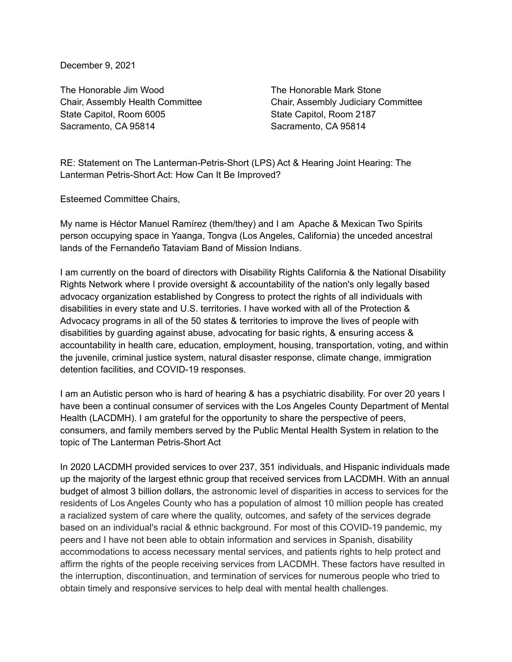December 9, 2021

The Honorable Jim Wood The Honorable Mark Stone State Capitol, Room 6005 State Capitol, Room 2187 Sacramento, CA 95814 Sacramento, CA 95814

Chair, Assembly Health Committee Chair, Assembly Judiciary Committee

RE: Statement on The Lanterman-Petris-Short (LPS) Act & Hearing Joint Hearing: The Lanterman Petris-Short Act: How Can It Be Improved?

Esteemed Committee Chairs,

My name is Héctor Manuel Ramírez (them/they) and I am Apache & Mexican Two Spirits person occupying space in Yaanga, Tongva (Los Angeles, California) the unceded ancestral lands of the Fernandeño Tataviam Band of Mission Indians.

I am currently on the board of directors with Disability Rights California & the National Disability Rights Network where I provide oversight & accountability of the nation's only legally based advocacy organization established by Congress to protect the rights of all individuals with disabilities in every state and U.S. territories. I have worked with all of the Protection & Advocacy programs in all of the 50 states & territories to improve the lives of people with disabilities by guarding against abuse, advocating for basic rights, & ensuring access & accountability in health care, education, employment, housing, transportation, voting, and within the juvenile, criminal justice system, natural disaster response, climate change, immigration detention facilities, and COVID-19 responses.

I am an Autistic person who is hard of hearing & has a psychiatric disability. For over 20 years I have been a continual consumer of services with the Los Angeles County Department of Mental Health (LACDMH). I am grateful for the opportunity to share the perspective of peers, consumers, and family members served by the Public Mental Health System in relation to the topic of The Lanterman Petris-Short Act

In 2020 LACDMH provided services to over 237, 351 individuals, and Hispanic individuals made up the majority of the largest ethnic group that received services from LACDMH. With an annual budget of almost 3 billion dollars, the astronomic level of disparities in access to services for the residents of Los Angeles County who has a population of almost 10 million people has created a racialized system of care where the quality, outcomes, and safety of the services degrade based on an individual's racial & ethnic background. For most of this COVID-19 pandemic, my peers and I have not been able to obtain information and services in Spanish, disability accommodations to access necessary mental services, and patients rights to help protect and affirm the rights of the people receiving services from LACDMH. These factors have resulted in the interruption, discontinuation, and termination of services for numerous people who tried to obtain timely and responsive services to help deal with mental health challenges.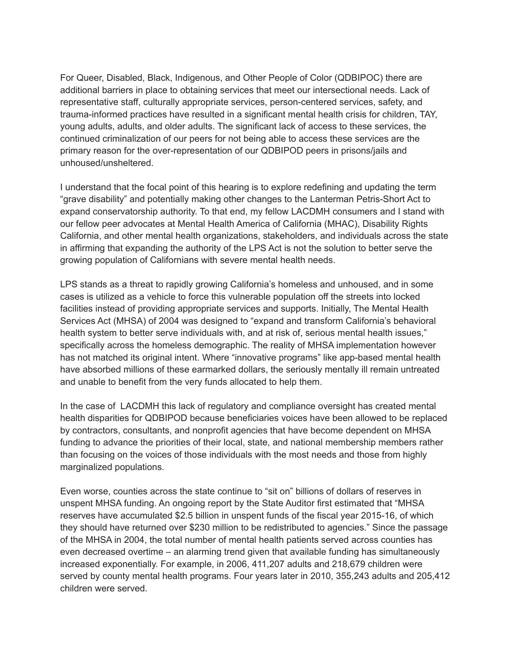For Queer, Disabled, Black, Indigenous, and Other People of Color (QDBIPOC) there are additional barriers in place to obtaining services that meet our intersectional needs. Lack of representative staff, culturally appropriate services, person-centered services, safety, and trauma-informed practices have resulted in a significant mental health crisis for children, TAY, young adults, adults, and older adults. The significant lack of access to these services, the continued criminalization of our peers for not being able to access these services are the primary reason for the over-representation of our QDBIPOD peers in prisons/jails and unhoused/unsheltered.

I understand that the focal point of this hearing is to explore redefining and updating the term "grave disability" and potentially making other changes to the Lanterman Petris-Short Act to expand conservatorship authority. To that end, my fellow LACDMH consumers and I stand with our fellow peer advocates at Mental Health America of California (MHAC), Disability Rights California, and other mental health organizations, stakeholders, and individuals across the state in affirming that expanding the authority of the LPS Act is not the solution to better serve the growing population of Californians with severe mental health needs.

LPS stands as a threat to rapidly growing California's homeless and unhoused, and in some cases is utilized as a vehicle to force this vulnerable population off the streets into locked facilities instead of providing appropriate services and supports. Initially, The Mental Health Services Act (MHSA) of 2004 was designed to "expand and transform California's behavioral health system to better serve individuals with, and at risk of, serious mental health issues," specifically across the homeless demographic. The reality of MHSA implementation however has not matched its original intent. Where "innovative programs" like app-based mental health have absorbed millions of these earmarked dollars, the seriously mentally ill remain untreated and unable to benefit from the very funds allocated to help them.

In the case of LACDMH this lack of regulatory and compliance oversight has created mental health disparities for QDBIPOD because beneficiaries voices have been allowed to be replaced by contractors, consultants, and nonprofit agencies that have become dependent on MHSA funding to advance the priorities of their local, state, and national membership members rather than focusing on the voices of those individuals with the most needs and those from highly marginalized populations.

Even worse, counties across the state continue to "sit on" billions of dollars of reserves in unspent MHSA funding. An ongoing report by the State Auditor first estimated that "MHSA reserves have accumulated \$2.5 billion in unspent funds of the fiscal year 2015-16, of which they should have returned over \$230 million to be redistributed to agencies." Since the passage of the MHSA in 2004, the total number of mental health patients served across counties has even decreased overtime – an alarming trend given that available funding has simultaneously increased exponentially. For example, in 2006, 411,207 adults and 218,679 children were served by county mental health programs. Four years later in 2010, 355,243 adults and 205,412 children were served.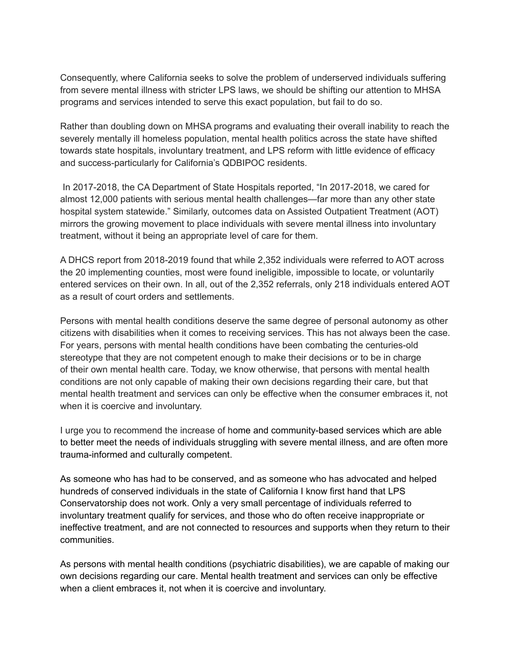Consequently, where California seeks to solve the problem of underserved individuals suffering from severe mental illness with stricter LPS laws, we should be shifting our attention to MHSA programs and services intended to serve this exact population, but fail to do so.

Rather than doubling down on MHSA programs and evaluating their overall inability to reach the severely mentally ill homeless population, mental health politics across the state have shifted towards state hospitals, involuntary treatment, and LPS reform with little evidence of efficacy and success-particularly for California's QDBIPOC residents.

In 2017-2018, the CA Department of State Hospitals reported, "In 2017-2018, we cared for almost 12,000 patients with serious mental health challenges—far more than any other state hospital system statewide." Similarly, outcomes data on Assisted Outpatient Treatment (AOT) mirrors the growing movement to place individuals with severe mental illness into involuntary treatment, without it being an appropriate level of care for them.

A DHCS report from 2018-2019 found that while 2,352 individuals were referred to AOT across the 20 implementing counties, most were found ineligible, impossible to locate, or voluntarily entered services on their own. In all, out of the 2,352 referrals, only 218 individuals entered AOT as a result of court orders and settlements.

Persons with mental health conditions deserve the same degree of personal autonomy as other citizens with disabilities when it comes to receiving services. This has not always been the case. For years, persons with mental health conditions have been combating the centuries-old stereotype that they are not competent enough to make their decisions or to be in charge of their own mental health care. Today, we know otherwise, that persons with mental health conditions are not only capable of making their own decisions regarding their care, but that mental health treatment and services can only be effective when the consumer embraces it, not when it is coercive and involuntary.

I urge you to recommend the increase of home and community-based services which are able to better meet the needs of individuals struggling with severe mental illness, and are often more trauma-informed and culturally competent.

As someone who has had to be conserved, and as someone who has advocated and helped hundreds of conserved individuals in the state of California I know first hand that LPS Conservatorship does not work. Only a very small percentage of individuals referred to involuntary treatment qualify for services, and those who do often receive inappropriate or ineffective treatment, and are not connected to resources and supports when they return to their communities.

As persons with mental health conditions (psychiatric disabilities), we are capable of making our own decisions regarding our care. Mental health treatment and services can only be effective when a client embraces it, not when it is coercive and involuntary.